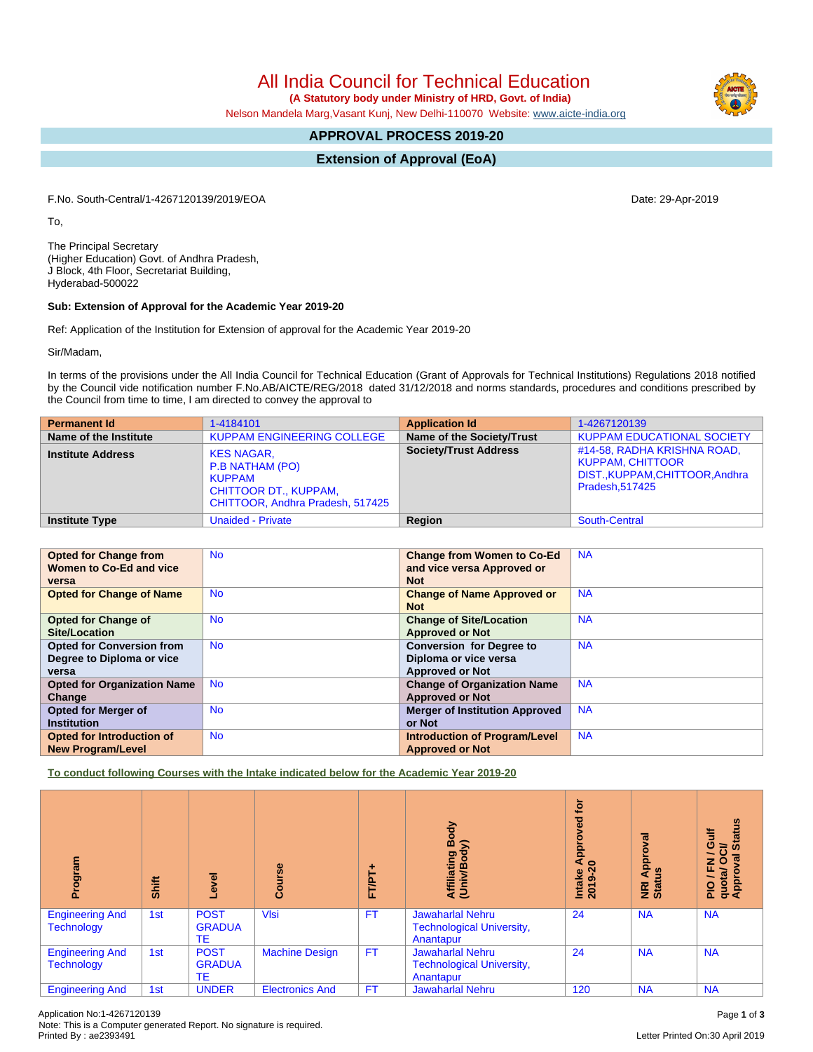All India Council for Technical Education

 **(A Statutory body under Ministry of HRD, Govt. of India)**

Nelson Mandela Marg,Vasant Kunj, New Delhi-110070 Website: [www.aicte-india.org](http://www.aicte-india.org)

# **APPROVAL PROCESS 2019-20**

**Extension of Approval (EoA)**

F.No. South-Central/1-4267120139/2019/EOA Date: 29-Apr-2019

To,

The Principal Secretary (Higher Education) Govt. of Andhra Pradesh, J Block, 4th Floor, Secretariat Building, Hyderabad-500022

### **Sub: Extension of Approval for the Academic Year 2019-20**

Ref: Application of the Institution for Extension of approval for the Academic Year 2019-20

Sir/Madam,

In terms of the provisions under the All India Council for Technical Education (Grant of Approvals for Technical Institutions) Regulations 2018 notified by the Council vide notification number F.No.AB/AICTE/REG/2018 dated 31/12/2018 and norms standards, procedures and conditions prescribed by the Council from time to time, I am directed to convey the approval to

| <b>Permanent Id</b>      | 1-4184101                                                                                                          | <b>Application Id</b>        | 1-4267120139                                                                                                |
|--------------------------|--------------------------------------------------------------------------------------------------------------------|------------------------------|-------------------------------------------------------------------------------------------------------------|
| Name of the Institute    | <b>KUPPAM ENGINEERING COLLEGE</b>                                                                                  | Name of the Society/Trust    | <b>KUPPAM EDUCATIONAL SOCIETY</b>                                                                           |
| <b>Institute Address</b> | <b>KES NAGAR,</b><br>P.B NATHAM (PO)<br><b>KUPPAM</b><br>CHITTOOR DT., KUPPAM,<br>CHITTOOR, Andhra Pradesh, 517425 | <b>Society/Trust Address</b> | #14-58, RADHA KRISHNA ROAD,<br><b>KUPPAM, CHITTOOR</b><br>DIST., KUPPAM, CHITTOOR, Andhra<br>Pradesh.517425 |
| <b>Institute Type</b>    | <b>Unaided - Private</b>                                                                                           | Region                       | <b>South-Central</b>                                                                                        |

| <b>Opted for Change from</b><br>Women to Co-Ed and vice | <b>No</b> | <b>Change from Women to Co-Ed</b><br>and vice versa Approved or | <b>NA</b> |
|---------------------------------------------------------|-----------|-----------------------------------------------------------------|-----------|
| versa                                                   |           | <b>Not</b>                                                      |           |
| <b>Opted for Change of Name</b>                         | <b>No</b> | <b>Change of Name Approved or</b><br><b>Not</b>                 | <b>NA</b> |
|                                                         |           |                                                                 |           |
| <b>Opted for Change of</b>                              | <b>No</b> | <b>Change of Site/Location</b>                                  | <b>NA</b> |
| Site/Location                                           |           | <b>Approved or Not</b>                                          |           |
| <b>Opted for Conversion from</b>                        | <b>No</b> | <b>Conversion for Degree to</b>                                 | <b>NA</b> |
| Degree to Diploma or vice                               |           | Diploma or vice versa                                           |           |
| versa                                                   |           | <b>Approved or Not</b>                                          |           |
| <b>Opted for Organization Name</b>                      | <b>No</b> | <b>Change of Organization Name</b>                              | <b>NA</b> |
| Change                                                  |           | <b>Approved or Not</b>                                          |           |
| <b>Opted for Merger of</b>                              | <b>No</b> | <b>Merger of Institution Approved</b>                           | <b>NA</b> |
| <b>Institution</b>                                      |           | or Not                                                          |           |
| <b>Opted for Introduction of</b>                        | <b>No</b> | <b>Introduction of Program/Level</b>                            | <b>NA</b> |
| <b>New Program/Level</b>                                |           | <b>Approved or Not</b>                                          |           |

**To conduct following Courses with the Intake indicated below for the Academic Year 2019-20**

| Program                                     | Shift | Level                              | Course                 | ٠<br><b>FT/PT</b> | Body<br>⋦<br>Affiliating<br>(Univ/Bod <sub>)</sub>                       | <u>iot</u><br>yed<br>Intake Approv<br>2019-20 | pproval<br>9<br>⋖<br>NRI<br>Stat | <b>Status</b><br>Ξ<br>O<br>ಕ<br>ह<br>O<br>준<br>quota/<br>Approv<br>∽<br><b>PIO</b> |
|---------------------------------------------|-------|------------------------------------|------------------------|-------------------|--------------------------------------------------------------------------|-----------------------------------------------|----------------------------------|------------------------------------------------------------------------------------|
| <b>Engineering And</b><br><b>Technology</b> | 1st   | <b>POST</b><br><b>GRADUA</b><br>ТE | <b>VIsi</b>            | <b>FT</b>         | <b>Jawaharlal Nehru</b><br><b>Technological University,</b><br>Anantapur | 24                                            | <b>NA</b>                        | <b>NA</b>                                                                          |
| <b>Engineering And</b><br><b>Technology</b> | 1st   | <b>POST</b><br><b>GRADUA</b><br>TE | <b>Machine Design</b>  | <b>FT</b>         | <b>Jawaharlal Nehru</b><br><b>Technological University,</b><br>Anantapur | 24                                            | <b>NA</b>                        | <b>NA</b>                                                                          |
| <b>Engineering And</b>                      | 1st   | <b>UNDER</b>                       | <b>Electronics And</b> | <b>FT</b>         | <b>Jawaharlal Nehru</b>                                                  | 120                                           | <b>NA</b>                        | <b>NA</b>                                                                          |

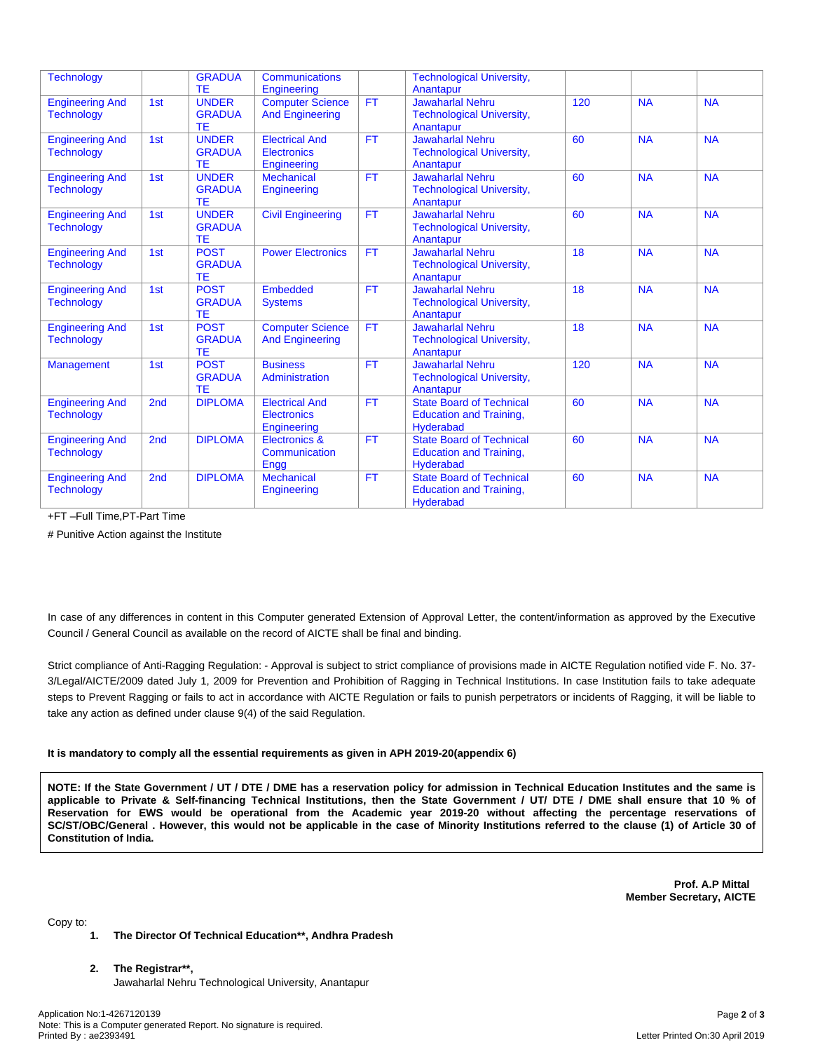| <b>Technology</b>      |                 | <b>GRADUA</b>  | <b>Communications</b>    |           | <b>Technological University,</b> |                 |           |           |
|------------------------|-----------------|----------------|--------------------------|-----------|----------------------------------|-----------------|-----------|-----------|
|                        |                 | TE             | Engineering              |           | Anantapur                        |                 |           |           |
|                        |                 | <b>UNDER</b>   |                          | <b>FT</b> | <b>Jawaharlal Nehru</b>          | 120             | <b>NA</b> | <b>NA</b> |
| <b>Engineering And</b> | 1st             |                | <b>Computer Science</b>  |           |                                  |                 |           |           |
| <b>Technology</b>      |                 | <b>GRADUA</b>  | <b>And Engineering</b>   |           | <b>Technological University,</b> |                 |           |           |
|                        |                 | TE             |                          |           | Anantapur                        |                 |           |           |
| <b>Engineering And</b> | 1st             | <b>UNDER</b>   | <b>Electrical And</b>    | <b>FT</b> | <b>Jawaharlal Nehru</b>          | 60              | <b>NA</b> | <b>NA</b> |
| <b>Technology</b>      |                 | <b>GRADUA</b>  | Electronics              |           | <b>Technological University,</b> |                 |           |           |
|                        |                 | TE             | Engineering              |           | Anantapur                        |                 |           |           |
| <b>Engineering And</b> | 1st             | <b>UNDER</b>   | <b>Mechanical</b>        | FT        | <b>Jawaharlal Nehru</b>          | 60              | <b>NA</b> | <b>NA</b> |
| <b>Technology</b>      |                 | <b>GRADUA</b>  | Engineering              |           | <b>Technological University,</b> |                 |           |           |
|                        |                 | TE             |                          |           | Anantapur                        |                 |           |           |
| <b>Engineering And</b> | 1st             | <b>UNDER</b>   | <b>Civil Engineering</b> | <b>FT</b> | <b>Jawaharlal Nehru</b>          | 60              | <b>NA</b> | <b>NA</b> |
| <b>Technology</b>      |                 | <b>GRADUA</b>  |                          |           | <b>Technological University,</b> |                 |           |           |
|                        |                 | TE             |                          |           | Anantapur                        |                 |           |           |
| <b>Engineering And</b> | 1st             | <b>POST</b>    | <b>Power Electronics</b> | <b>FT</b> | <b>Jawaharlal Nehru</b>          | 18              | <b>NA</b> | <b>NA</b> |
| <b>Technology</b>      |                 | <b>GRADUA</b>  |                          |           | <b>Technological University,</b> |                 |           |           |
|                        |                 | TE             |                          |           | Anantapur                        |                 |           |           |
|                        |                 | <b>POST</b>    | Embedded                 | <b>FT</b> | <b>Jawaharlal Nehru</b>          | $\overline{18}$ | <b>NA</b> | <b>NA</b> |
| <b>Engineering And</b> | 1st             |                |                          |           |                                  |                 |           |           |
| <b>Technology</b>      |                 | <b>GRADUA</b>  | <b>Systems</b>           |           | <b>Technological University,</b> |                 |           |           |
|                        |                 | TE             |                          |           | Anantapur                        |                 |           |           |
| <b>Engineering And</b> | 1st             | <b>POST</b>    | <b>Computer Science</b>  | <b>FT</b> | <b>Jawaharlal Nehru</b>          | 18              | <b>NA</b> | <b>NA</b> |
| <b>Technology</b>      |                 | <b>GRADUA</b>  | <b>And Engineering</b>   |           | <b>Technological University,</b> |                 |           |           |
|                        |                 | TE             |                          |           | Anantapur                        |                 |           |           |
| Management             | 1st             | <b>POST</b>    | <b>Business</b>          | <b>FT</b> | <b>Jawaharlal Nehru</b>          | 120             | <b>NA</b> | <b>NA</b> |
|                        |                 | <b>GRADUA</b>  | Administration           |           | <b>Technological University,</b> |                 |           |           |
|                        |                 | TE             |                          |           | Anantapur                        |                 |           |           |
| <b>Engineering And</b> | 2 <sub>nd</sub> | <b>DIPLOMA</b> | <b>Electrical And</b>    | <b>FT</b> | <b>State Board of Technical</b>  | 60              | <b>NA</b> | <b>NA</b> |
| <b>Technology</b>      |                 |                | <b>Electronics</b>       |           | <b>Education and Training,</b>   |                 |           |           |
|                        |                 |                | Engineering              |           | <b>Hyderabad</b>                 |                 |           |           |
| <b>Engineering And</b> | 2 <sub>nd</sub> | <b>DIPLOMA</b> | Electronics &            | <b>FT</b> | <b>State Board of Technical</b>  | 60              | <b>NA</b> | <b>NA</b> |
| <b>Technology</b>      |                 |                | Communication            |           | <b>Education and Training,</b>   |                 |           |           |
|                        |                 |                | Engg                     |           | <b>Hyderabad</b>                 |                 |           |           |
|                        | 2nd             | <b>DIPLOMA</b> | <b>Mechanical</b>        | <b>FT</b> | <b>State Board of Technical</b>  | 60              | <b>NA</b> | <b>NA</b> |
| <b>Engineering And</b> |                 |                |                          |           |                                  |                 |           |           |
| <b>Technology</b>      |                 |                | Engineering              |           | <b>Education and Training,</b>   |                 |           |           |
|                        |                 |                |                          |           | <b>Hyderabad</b>                 |                 |           |           |

+FT –Full Time,PT-Part Time

# Punitive Action against the Institute

In case of any differences in content in this Computer generated Extension of Approval Letter, the content/information as approved by the Executive Council / General Council as available on the record of AICTE shall be final and binding.

Strict compliance of Anti-Ragging Regulation: - Approval is subject to strict compliance of provisions made in AICTE Regulation notified vide F. No. 37- 3/Legal/AICTE/2009 dated July 1, 2009 for Prevention and Prohibition of Ragging in Technical Institutions. In case Institution fails to take adequate steps to Prevent Ragging or fails to act in accordance with AICTE Regulation or fails to punish perpetrators or incidents of Ragging, it will be liable to take any action as defined under clause 9(4) of the said Regulation.

### **It is mandatory to comply all the essential requirements as given in APH 2019-20(appendix 6)**

NOTE: If the State Government / UT / DTE / DME has a reservation policy for admission in Technical Education Institutes and the same is applicable to Private & Self-financing Technical Institutions, then the State Government / UT/ DTE / DME shall ensure that 10 % of Reservation for EWS would be operational from the Academic year 2019-20 without affecting the percentage reservations of SC/ST/OBC/General . However, this would not be applicable in the case of Minority Institutions referred to the clause (1) of Article 30 of **Constitution of India.**

> **Prof. A.P Mittal Member Secretary, AICTE**

Copy to:

#### **1. The Director Of Technical Education\*\*, Andhra Pradesh**

### **2. The Registrar\*\*,**

Jawaharlal Nehru Technological University, Anantapur